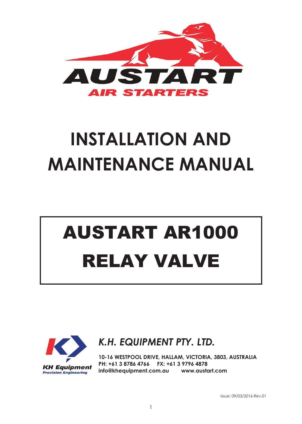

## **INSTALLATION AND MAINTENANCE MANUAL**

## AUSTART AR1000 RELAY VALVE



*K.H. EQUIPMENT PTY. LTD.*

**10-16 WESTPOOL DRIVE, HALLAM, VICTORIA, 3803, AUSTRALIA PH: +61 3 8786 4766 FX: +61 3 9796 4878 info@khequipment.com.au www.austart.com**

Issue: 09/03/2016 Rev.01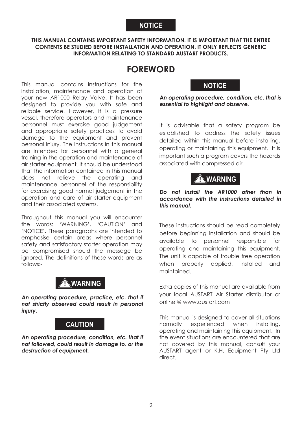#### **NOTICE**

#### **THIS MANUAL CONTAINS IMPORTANT SAFETY INFORMATION. IT IS IMPORTANT THAT THE ENTIRE CONTENTS BE STUDIED BEFORE INSTALLATION AND OPERATION. IT ONLY REFLECTS GENERIC INFORMATION RELATING TO STANDARD AUSTART PRODUCTS.**

#### **FOREWORD**

This manual contains instructions for the installation, maintenance and operation of your new AR1000 Relay Valve. It has been designed to provide you with safe and reliable service. However, it is a pressure vessel, therefore operators and maintenance personnel must exercise good judgement and appropriate safety practices to avoid damage to the equipment and prevent personal injury. The instructions in this manual are intended for personnel with a general training in the operation and maintenance of air starter equipment. It should be understood that the information contained in this manual does not relieve the operating and maintenance personnel of the responsibility for exercising good normal judgement in the operation and care of air starter equipment and their associated systems.

Throughout this manual you will encounter the words: 'WARNING', 'CAUTION' and 'NOTICE'. These paragraphs are intended to emphasise certain areas where personnel safety and satisfactory starter operation may be compromised should the message be ignored. The definitions of these words are as follows:-

#### **! WARNING**

*An operating procedure, practice, etc. that if not strictly observed could result in personal injury.* 

#### **CAUTION**

*An operating procedure, condition, etc. that if not followed, could result in damage to, or the destruction of equipment.*

#### **NOTICE**

**A***n operating procedure, condition, etc. that is essential to highlight and observe.*

It is advisable that a safety program be established to address the safety issues detailed within this manual before installing, operating or maintaining this equipment. It is important such a program covers the hazards associated with compressed air.



#### *Do not install the AR1000 other than in accordance with the instructions detailed in this manual.*

These instructions should be read completely before beginning installation and should be available to personnel responsible for operating and maintaining this equipment. The unit is capable of trouble free operation when properly applied, installed and maintained.

Extra copies of this manual are available from your local AUSTART Air Starter distributor or online @ www.austart.com

This manual is designed to cover all situations normally experienced when installing, operating and maintaining this equipment. In the event situations are encountered that are not covered by this manual, consult your AUSTART agent or K.H. Equipment Pty Ltd direct.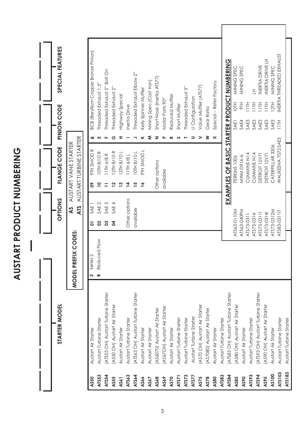SPECIAL FEATURES **STARTER MODEL OPTIONS FLANGE CODE PINION CODE SPECIAL FEATURES BCB** (Beryllium Copper Bronze Pinion) **AS50** Austart Air Starter **2** Series 2 **01** SAE 1 **09** 9TH 3MOD R **B** BCB (Beryllium Copper Bronze Pinion) NERTIA THREADED EXHAUST ATS83-0311IT WAUKESHA 7072SAE3 11TH INERTIA THREADED EXHAUST INERTIA DRIVE LH EXAMPLES OF BASIC STARTER PRODUCT NUMBERING **EXAMPLES OF BASIC STARTER PRODUCT NUMBERING** ATS73-0314I DETROIT 12V71 SAE3 11TH INERTIA DRIVE LH INERTIA DRIVE MINING SPEC MINING SPEC MINING SPEC ATS73-0311I DETROIT 12V71 SAE3 11TH INERTIA DRIVE ATS63-0110M PERKINS 1006 SAE1 10TH MINING SPEC ATS63-0409M MWM D916-6 SAE4 9TH MINING SPEC ATS73-0312M CATERPILLAR 3306 SAE3 12TH MINING SPEC Threaded Exhaust 2" Bolt On **ATS54** CH) Austart Turbine Starter Turbine Starter **11** 11 1 1 1 3 SAE 3 SAE 3 SAE 3 R D 5 R R FALS 2. Paust 2. Paust 2. Paust 2. Paust 2. Paust 2. Paust 2. Paust 2. Paust 2. Paust 2. Paust 2. Paust 2. Paust 2. Paust 2. P Threaded Exhaust Elbow 2" **ATS64** (ATS63 OH) Austart Turbine Starter available **15** 10TH 8/10 L **J** Threaded Exhaust Elbow 2" Short Nose (Inertia ATS77) (ASSIR ATE-BET) ASSOCIAL START AND SUSSIGN ASSOCIATIONS ONLY CONSIDENT AND START OF SHOW AND SHOW SHOWS ONLY NOSE (INCRESS ASSOCIATIONS ONLY NOT NO SHOWS ASSOCIATION ON SHOWS ASSOCIATIONS ONLY NOT NOT A SHOWS ASSOCIATION O Mining Spec.(Cast Iron) **AS67** Austart Air Starter **M** Mining Spec.(Cast Iron) Special - Refer Factory **AS80** Austart Air Starter **X** Special – Refer Factory Threaded Exhaust 1.5" **ATS53** Austart Turbine Starter **R** Reduced Flow **02** SAE 2 **10** 10TH 8/10 R **E** Threaded Exhaust 1.5" Value Muffler (ATS77) Threaded Exhaust 3" **AS75** (AS70 OH) Austart Air Starter **V** Value Muffler (ATS77) Threaded Exhaust 2" **ASS42 ASS42** (AUSTARED AUSTARED AUSTART ALL 4 RHVS **40** 12TH 8/10 RHD 8/10 RHD15/3 R HD15/3V 12TH 8/10 RHD15 R AND 8/10 RHD15 21 Kelly Spinner Muffler **ATS73** Austart Turbine Starter **T** Threaded Exhaust 3" **AS66** Austart Air Starter **16** 9TH 3MOD L **K** Kelly Spinner Muffler  $\overline{\pm}$ ATS73-0314 CUMMINS N14 SAE3 11TH LH Highway Special Reduced Muffler **AS70** Austart Air Starter **R** Reduced Muffler **ASSEX** ASSENT A HIGHWAY ALLOLED AIR 2010 LANGLER **1374** 2010 LANGLER AIR SPECIAL AVAIRS AND LANGLER AT LANGLER A U Configuration Lotation and the Starter Starter Starter Starter Starter Starter Starter Starter Starter Starter Starter Starter Starter Starter Starter Starter Starter Starter Starter Starter Starter Starter Starter Starter Starter Start Motor Ports 90° **ASSERVICE AUSTRE AUTORITY AND ASSERVE ASSERVED A SONS HOLDS AIR TO ASSERVED ASSERVED ASSERVED ASSERVED ASSERVED ASSERVED ASSERVED ASSERVED ASSERVED ASSERVED ASSERVED ASSERVED ASSERVED ASSERVED ASSERVED ASSERVED ASSERVED A HIOI**  $\equiv$  $12T$ **H16**  $\equiv$ 苣  $\equiv$ Short Muffler PINION CODE Inertia Drive **ATS71** Austart Turbine Starter **S** Short Muffler ATS73-0311 CUMMINS N14 SAE3 11TH **ATS63** Austart Turbine Starter Other options **14** 11TH 6/8 L **I** Inertia Drive Gear Ratio **ASPECTS ASSESS (ASSESS) AUSTRALIST AND MODERAL STATES AND MODERAL STATES AND MODERAL STATES OF A SPACE RATION** SAE4 SAE3 SAE3 SAE3 SAE3 SAE3 SAET E  $\times$ AUSTART TURBINE STARTER Ů ₹  $\geq$ ക ш  $\overline{z}$  $\sim$  $\geq$ **ATS** AUSTART TURBINE STARTER WAUKESHA 7072SAE3 AS AUSTART VANE STARTER **MODEL PREFIX CODES: AS** AUSTART VANE STARTER FLANGE CODE CATERPILLAR 3306 9TH 3MOD R **J QOWE HILS** 12TH 8/10 R **IOTH 8/10 R** 12TH 8/10L **JOUR 8/101** 11TH 6/8 R 11TH 6/8L CUMMINS N14 CUMMINS N14 DETROIT 12V71 DETROIT 12V71 **MWM D916-6** PERKINS 1006 Other options available  $\overline{15}$ **SO**  $\overline{a}$  $\overline{1}$  $\overline{2}$  $13$  $\overline{4}$  $\frac{1}{2}$ OPTIONS Other options SAE<sub>3</sub> SAE 4 SAE<sub>2</sub> ATS SAE<sub>1</sub> available ATS63-0409M ATS73-0312M ATS63-0110M ATS83-0311IT ATS73-03111 ATS73-0314 ATS73-0311 ATS73-0314 8  $3<sup>3</sup>$ 5 MODEL PREFIX CODES: Reduced Flow Series<sub>2</sub>  $\overline{\mathbf{r}}$  $\sim$ ATS53 OH) Austart Turbine Starter ATS83 OH) Austart Turbine Starter ATS63 OH) Austart Turbine Starter **ATS84** (ATS83 OH) Austart Turbine Starter 'ATS93 OH) Austart Turbine Starter **ATS94** (ATS93 OH) Austart Turbine Starter AS70 OH) Austart Air Starter AS80 OH) Austart Air Starter **AS85** (AS80 OH) Austart Air Starter AS90 OH) Austart Air Starter **AS95** (AS90 OH) Austart Air Starter AS50 OH) Austart Air Starter **STARTER MODEI** AS670H) Austart Air Starter AS6070) Austart Air Starter AS7080) Austart Air Starter Austart Turbine Starter Austart Turbine Starter Austart Turbine Starter Austart Turbine Starter Austart Turbine Starter Austart Turbine Starter Austart Turbine Starter Austart Turbine Starter **ATS83** Austart Turbine Starter **ATS93** Austart Turbine Starter **ATS103** Austart Turbine Starter Austart Turbine Starter **ATS183** Austart Turbine Starter Austart Air Starter Austart Air Starter Austart Air Starter Austart Air Starter Austart Air Starter Austart Air Starter Austart Air Starter Austart Air Starter **AS90** Austart Air Starter **AS100** Austart Air Starter ATS183 ATS103 AS100 ATS53 ATS63 ATS64 ATS83 ATS93 **ATS94** ATS54 ATS71 ATS73 ATS77 **ATS84** AS95 AS50 AS55 AS61 AS66 AS67 AS68 AS69 AS70 AS75 AS78 **AS80** AS85 AS90

**AUSTART PRODUCT NUMBERING**

AUSTART PRODUCT NUMBERING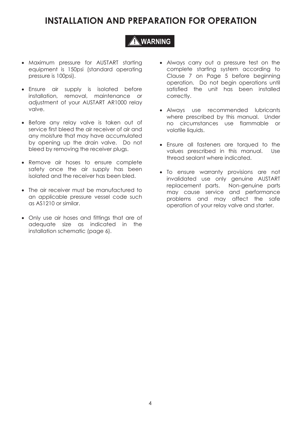## **INSTALLATION AND PREPARATION FOR OPERATION**

#### **! WARNING**

- Maximum pressure for AUSTART starting equipment is 150psi (standard operating pressure is 100psi).
- Ensure air supply is isolated before installation, removal, maintenance or adjustment of your AUSTART AR1000 relay valve.
- Before any relay valve is taken out of service first bleed the air receiver of air and any moisture that may have accumulated by opening up the drain valve. Do not bleed by removing the receiver plugs.
- Remove air hoses to ensure complete safety once the air supply has been isolated and the receiver has been bled.
- The air receiver must be manufactured to an applicable pressure vessel code such as AS1210 or similar.
- Only use air hoses and fittings that are of adequate size as indicated in the installation schematic (page 6).
- Always carry out a pressure test on the complete starting system according to Clause 7 on Page 5 before beginning operation. Do not begin operations until satisfied the unit has been installed correctly.
- Always use recommended lubricants where prescribed by this manual. Under no circumstances use flammable or volatile liquids.
- Ensure all fasteners are torqued to the values prescribed in this manual. Use thread sealant where indicated.
- To ensure warranty provisions are not invalidated use only genuine AUSTART replacement parts. Non-genuine parts may cause service and performance problems and may affect the safe operation of your relay valve and starter.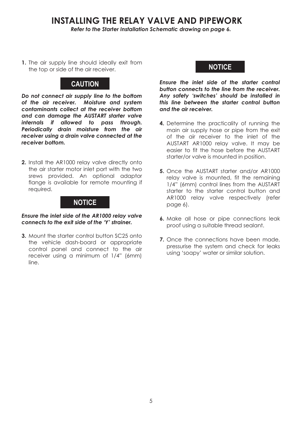#### **INSTALLING THE RELAY VALVE AND PIPEWORK**

*Refer to the Starter Installation Schematic drawing on page 6.*

**1.** The air supply line should ideally exit from the top or side of the air receiver.

#### **CAUTION**

*Do not connect air supply line to the bottom of the air receiver. Moisture and system contaminants collect at the receiver bottom and can damage the AUSTART starter valve internals if allowed to pass through. Periodically drain moisture from the air receiver using a drain valve connected at the receiver bottom.*

**2.** Install the AR1000 relay valve directly onto the air starter motor inlet port with the two srews provided. An optional adaptor flange is available for remote mounting if required.

#### **NOTICE**

*Ensure the inlet side of the AR1000 relay valve connects to the exit side of the 'Y' strainer.*

**3.** Mount the starter control button SC25 onto the vehicle dash-board or appropriate control panel and connect to the air receiver using a minimum of 1/4" (6mm) line.

#### **NOTICE**

*Ensure the inlet side of the starter control button connects to the line from the receiver. Any safety 'switches' should be installed in this line between the starter control button and the air receiver.*

- **4.** Determine the practicality of running the main air supply hose or pipe from the exit of the air receiver to the inlet of the AUSTART AR1000 relay valve. It may be easier to fit the hose before the AUSTART starter/or valve is mounted in position.
- **5.** Once the AUSTART starter and/or AR1000 relay valve is mounted, fit the remaining 1/4" (6mm) control lines from the AUSTART starter to the starter control button and AR1000 relay valve respectively (refer page 6).
- **6.** Make all hose or pipe connections leak proof using a suitable thread sealant.
- **7.** Once the connections have been made. pressurise the system and check for leaks using 'soapy' water or similar solution.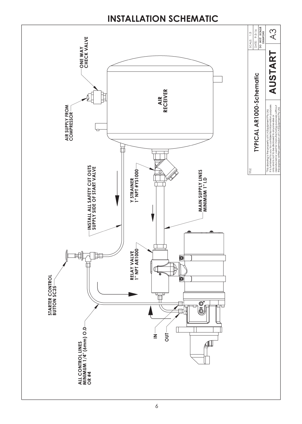### **INSTALLATION SCHEMATIC**

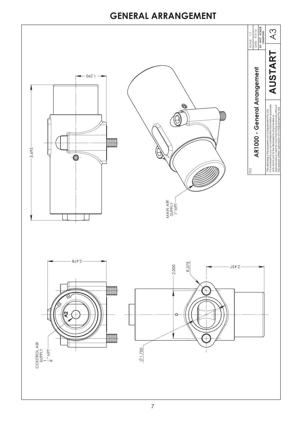### **GENERAL ARRANGEMENT**

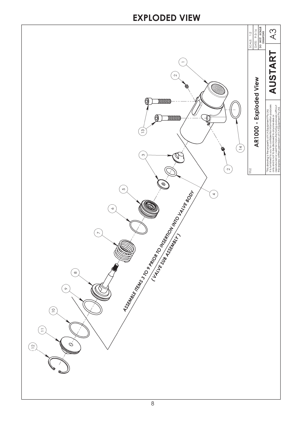### **EXPLODED VIEW**

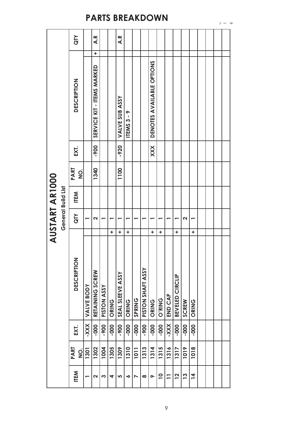| AUSTART AR1000 |                    | <b>AID</b>                                    |                   | A.R                        |                    |       | A.R              |           |               |                   |                           |                         |                          |                 |          |                |  |  |
|----------------|--------------------|-----------------------------------------------|-------------------|----------------------------|--------------------|-------|------------------|-----------|---------------|-------------------|---------------------------|-------------------------|--------------------------|-----------------|----------|----------------|--|--|
|                | General Build List |                                               |                   | ٠                          |                    |       |                  |           |               |                   |                           |                         |                          |                 |          |                |  |  |
|                |                    | DESCRIPTION                                   |                   | SERVICE KIT - ITEMS MARKED |                    |       | VALVE SUB ASSY   | ITEMS3-9  |               |                   | DENOTES AVAILABLE OPTIONS |                         |                          |                 |          |                |  |  |
|                |                    | EXT.                                          |                   | -900                       |                    |       | $-920$           |           |               |                   | XXX                       |                         |                          |                 |          |                |  |  |
|                |                    | PART<br>$\frac{\dot{\mathsf{O}}}{\mathsf{Z}}$ |                   | 1340                       |                    |       | 1100             |           |               |                   |                           |                         |                          |                 |          |                |  |  |
|                |                    | <b>ITEM</b>                                   |                   |                            |                    |       |                  |           |               |                   |                           |                         |                          |                 |          |                |  |  |
|                |                    | <b>QTY</b>                                    |                   | N                          |                    |       |                  |           |               |                   |                           |                         |                          |                 | 2        |                |  |  |
|                |                    |                                               |                   |                            |                    | ٠     | ٠                | ٠         |               |                   | ٠                         | ٠                       |                          | ÷               |          | ÷              |  |  |
|                |                    | <b>DESCRIPTION</b>                            | <b>VALVE BODY</b> | RETAINING SCREW            | <b>PISTON ASSY</b> | ORING | SEAL SLEEVE ASSY | ORING     | <b>SPRING</b> | PISTON SHAFT ASSY | ORING                     | <b>O'RING</b>           | END CAP                  | BEVELED CIRCLIP | SCREW    | ORING          |  |  |
|                |                    | EXT.                                          | -XXX-             | -000                       | -900               | -000  | -900             | -000      | -000          | -900              | -000                      | -000                    | -XXX-                    | $-000-$         | -000     | -000-          |  |  |
|                |                    | PART<br>o<br>Z                                | 1301              | 1302                       | 1004               | 1305  | 1309             | 1310      | <b>1011</b>   | 1313              | 1314                      | 1315                    | 1316                     | 1317            | 1019     | 1018           |  |  |
|                |                    | <b>ITEM</b>                                   |                   | ٧                          | က                  | 4     | 5                | $\bullet$ | ↖             | $\infty$          | $\bullet$                 | $\overline{\mathbf{C}}$ | $\overline{\phantom{0}}$ | $\overline{12}$ | <u>ო</u> | $\overline{4}$ |  |  |

## **PARTS BREAKDOWN**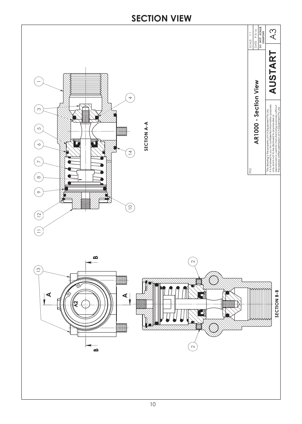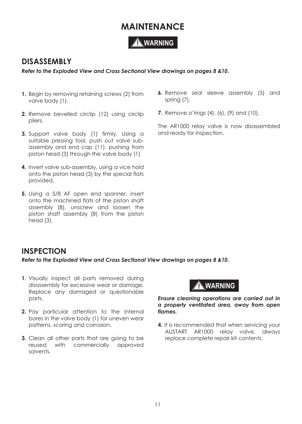### **MAINTENANCE**

#### **! WARNING**

#### **DISASSEMBLY**

*Refer to the Exploded View and Cross Sectional View drawings on pages 8 &10.*

- **1.** Begin by removing retaining screws (2) from valve body (1).
- **2.** Remove bevelled circlip (12) using circlip pliers.
- **3.** Support valve body (1) firmly. Using a suitable pressing tool, push out valve subassembly and end cap (11), pushing from piston head (3) through the valve body (1)
- **4.** Invert valve sub-assembly, using a vice hold onto the piston head (3) by the special flats provided.
- **5.** Using a 5/8 AF open end spanner, insert onto the machined flats of the piston shaft assembly (8), unscrew and loosen the piston shaft assembly (8) from the piston head (3).
- **6.** Remove seal sleeve assembly (5) and spring (7).
- **7.** Remove o'rings (4), (6), (9) and (10).

The AR1000 relay valve is now disassembled and ready for inspection.

#### **INSPECTION**

*Refer to the Exploded View and Cross Sectional View drawings on pages 8 &10.*

- **1.** Visually inspect all parts removed during disassembly for excessive wear or damage. Replace any damaged or questionable parts.
- **2.** Pay particular attention to the internal bores in the valve body (1) for uneven wear patterns, scoring and corrosion.
- **3.** Clean all other parts that are going to be reused with commercially approved solvents.



*Ensure cleaning operations are carried out in a properly ventilated area, away from open flames.* 

**4.** It is recommended that when servicing your AUSTART AR1000 relay valve, always replace complete repair kit contents.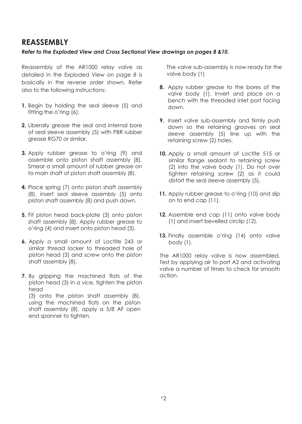#### **REASSEMBLY**

#### *Refer to the Exploded View and Cross Sectional View drawings on pages 8 &10.*

Reassembly of the AR1000 relay valve as detailed in the Exploded View on *page 8* is basically in the reverse order shown. Refer also to the following instructions:

- **1.** Begin by holding the seal sleeve (5) and fitting the o'ring (6).
- **2.** Liberally grease the seal and internal bore of seal sleeve assembly (5) with PBR rubber grease RG70 or similar.
- **3.** Apply rubber grease to o'ring (9) and assemble onto piston shaft assembly (8). Smear a small amount of rubber grease on to main shaft of piston shaft assembly (8).
- **4.** Place spring (7) onto piston shaft assembly (8), insert seal sleeve assembly (5) onto piston shaft assembly (8) and push down.
- **5.** Fit piston head back-plate (3) onto piston shaft assembly (8). Apply rubber grease to o'ring (4) and insert onto piston head (3).
- **6.** Apply a small amount of Loctite 243 or similar thread locker to threaded hole of piston head (3) and screw onto the piston shaft assembly (8).
- **7.** By gripping the machined flats of the piston head (3) in a vice, tighten the piston head (3) onto the piston shaft assembly (8),

using the machined flats on the piston shaft assembly (8), apply a 5/8 AF open end spanner to tighten.

The valve sub-assembly is now ready for the valve body (1)

- **8.** Apply rubber grease to the bores of the valve body (1). Invert and place on a bench with the threaded inlet port facing down.
- **9.** Insert valve sub-assembly and firmly push down so the retaining grooves on seal sleeve assembly (5) line up with the retaining screw (2) holes.
- 10. Apply a small amount of Loctite 515 or similar flange sealant to retaining screw (2) into the valve body (1). Do not over tighten retaining screw (2) as it could distort the seal sleeve assembly (5).
- 11. Apply rubber grease to o'ring (10) and slip on to end cap (11).
- **12.** Assemble end cap (11) onto valve body (1) and insert bevelled circlip (12).
- **13.** Finally assemble o'ring (14) onto valve body (1).

The AR1000 relay valve is now assembled. Test by applying air to port A2 and activating valve a number of times to check for smooth action.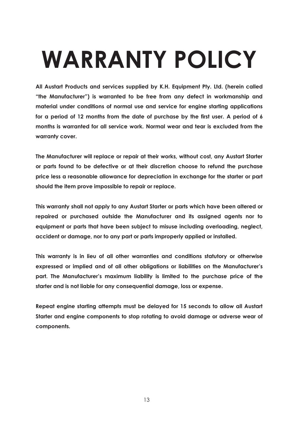# **WARRANTY POLICY**

**All Austart Products and services supplied by K.H. Equipment Pty. Ltd. (herein called "the Manufacturer") is warranted to be free from any defect in workmanship and material under conditions of normal use and service for engine starting applications for a period of 12 months from the date of purchase by the first user. A period of 6 months is warranted for all service work. Normal wear and tear is excluded from the warranty cover.**

**The Manufacturer will replace or repair at their works, without cost, any Austart Starter or parts found to be defective or at their discretion choose to refund the purchase price less a reasonable allowance for depreciation in exchange for the starter or part should the item prove impossible to repair or replace.** 

**This warranty shall not apply to any Austart Starter or parts which have been altered or repaired or purchased outside the Manufacturer and its assigned agents nor to equipment or parts that have been subject to misuse including overloading, neglect, accident or damage, nor to any part or parts improperly applied or installed.** 

**This warranty is in lieu of all other warranties and conditions statutory or otherwise expressed or implied and of all other obligations or liabilities on the Manufacturer's part. The Manufacturer's maximum liability is limited to the purchase price of the starter and is not liable for any consequential damage, loss or expense.**

**Repeat engine starting attempts must be delayed for 15 seconds to allow all Austart Starter and engine components to stop rotating to avoid damage or adverse wear of components.**